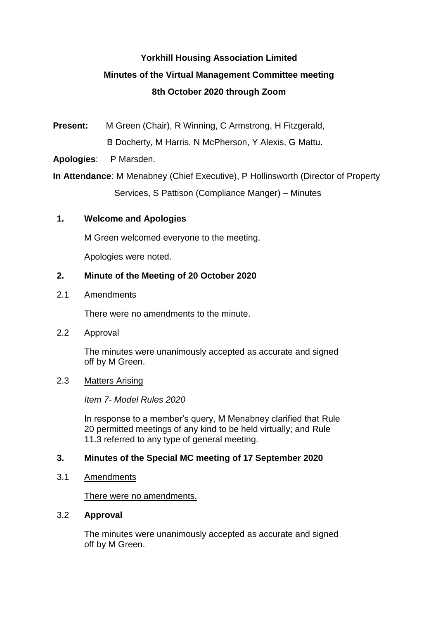# **Yorkhill Housing Association Limited Minutes of the Virtual Management Committee meeting 8th October 2020 through Zoom**

**Present:** M Green (Chair), R Winning, C Armstrong, H Fitzgerald, B Docherty, M Harris, N McPherson, Y Alexis, G Mattu.

**Apologies**: P Marsden.

**In Attendance**: M Menabney (Chief Executive), P Hollinsworth (Director of Property Services, S Pattison (Compliance Manger) – Minutes

# **1. Welcome and Apologies**

M Green welcomed everyone to the meeting.

Apologies were noted.

#### **2. Minute of the Meeting of 20 October 2020**

2.1 Amendments

There were no amendments to the minute.

2.2 Approval

The minutes were unanimously accepted as accurate and signed off by M Green.

2.3 Matters Arising

*Item 7- Model Rules 2020*

In response to a member's query, M Menabney clarified that Rule 20 permitted meetings of any kind to be held virtually; and Rule 11.3 referred to any type of general meeting.

#### **3. Minutes of the Special MC meeting of 17 September 2020**

3.1 Amendments

There were no amendments.

3.2 **Approval**

The minutes were unanimously accepted as accurate and signed off by M Green.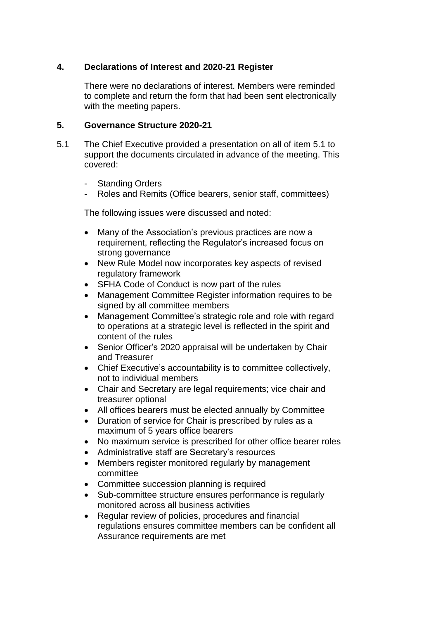# **4. Declarations of Interest and 2020-21 Register**

There were no declarations of interest. Members were reminded to complete and return the form that had been sent electronically with the meeting papers.

#### **5. Governance Structure 2020-21**

- 5.1 The Chief Executive provided a presentation on all of item 5.1 to support the documents circulated in advance of the meeting. This covered:
	- **Standing Orders**
	- Roles and Remits (Office bearers, senior staff, committees)

The following issues were discussed and noted:

- Many of the Association's previous practices are now a requirement, reflecting the Regulator's increased focus on strong governance
- New Rule Model now incorporates key aspects of revised regulatory framework
- SFHA Code of Conduct is now part of the rules
- Management Committee Register information requires to be signed by all committee members
- Management Committee's strategic role and role with regard to operations at a strategic level is reflected in the spirit and content of the rules
- Senior Officer's 2020 appraisal will be undertaken by Chair and Treasurer
- Chief Executive's accountability is to committee collectively, not to individual members
- Chair and Secretary are legal requirements; vice chair and treasurer optional
- All offices bearers must be elected annually by Committee
- Duration of service for Chair is prescribed by rules as a maximum of 5 years office bearers
- No maximum service is prescribed for other office bearer roles
- Administrative staff are Secretary's resources
- Members register monitored regularly by management committee
- Committee succession planning is required
- Sub-committee structure ensures performance is regularly monitored across all business activities
- Regular review of policies, procedures and financial regulations ensures committee members can be confident all Assurance requirements are met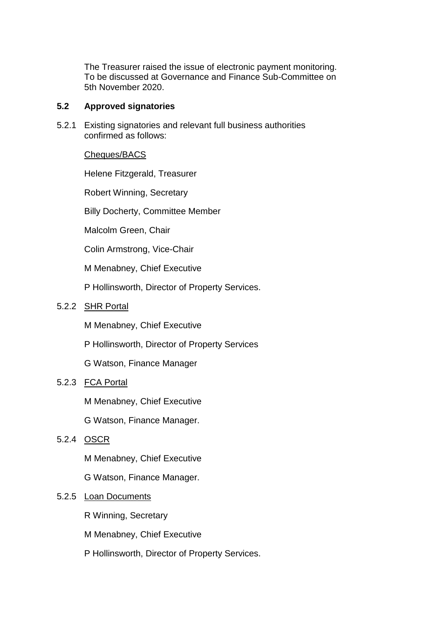The Treasurer raised the issue of electronic payment monitoring. To be discussed at Governance and Finance Sub-Committee on 5th November 2020.

#### **5.2 Approved signatories**

5.2.1 Existing signatories and relevant full business authorities confirmed as follows:

# Cheques/BACS

Helene Fitzgerald, Treasurer

Robert Winning, Secretary

Billy Docherty, Committee Member

Malcolm Green, Chair

Colin Armstrong, Vice-Chair

M Menabney, Chief Executive

P Hollinsworth, Director of Property Services.

# 5.2.2 SHR Portal

M Menabney, Chief Executive

P Hollinsworth, Director of Property Services

G Watson, Finance Manager

# 5.2.3 FCA Portal

M Menabney, Chief Executive

G Watson, Finance Manager.

# 5.2.4 OSCR

M Menabney, Chief Executive

G Watson, Finance Manager.

# 5.2.5 Loan Documents

R Winning, Secretary

M Menabney, Chief Executive

P Hollinsworth, Director of Property Services.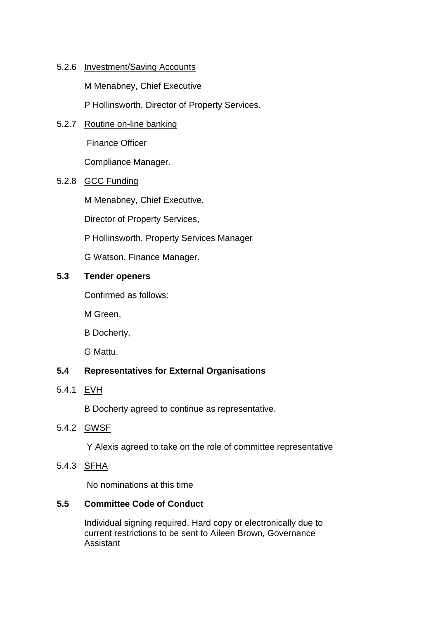# 5.2.6 Investment/Saving Accounts

M Menabney, Chief Executive

P Hollinsworth, Director of Property Services.

5.2.7 Routine on-line banking

Finance Officer

Compliance Manager.

# 5.2.8 GCC Funding

M Menabney, Chief Executive,

Director of Property Services,

P Hollinsworth, Property Services Manager

G Watson, Finance Manager.

# **5.3 Tender openers**

Confirmed as follows:

M Green,

B Docherty,

G Mattu.

# **5.4 Representatives for External Organisations**

5.4.1 EVH

B Docherty agreed to continue as representative.

5.4.2 GWSF

Y Alexis agreed to take on the role of committee representative

5.4.3 SFHA

No nominations at this time

# **5.5 Committee Code of Conduct**

Individual signing required. Hard copy or electronically due to current restrictions to be sent to Aileen Brown, Governance Assistant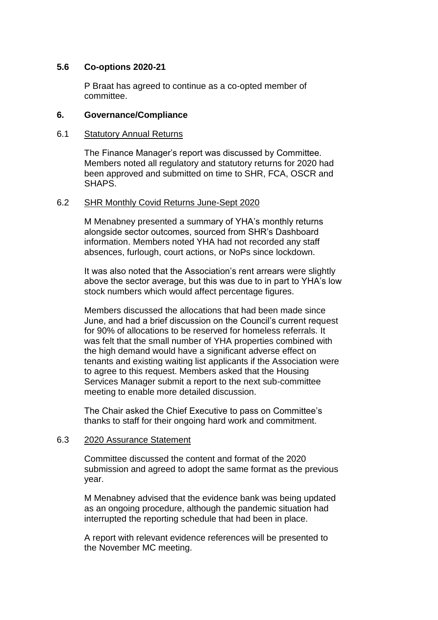# **5.6 Co-options 2020-21**

P Braat has agreed to continue as a co-opted member of committee.

# **6. Governance/Compliance**

# 6.1 Statutory Annual Returns

The Finance Manager's report was discussed by Committee. Members noted all regulatory and statutory returns for 2020 had been approved and submitted on time to SHR, FCA, OSCR and SHAPS.

# 6.2 SHR Monthly Covid Returns June-Sept 2020

M Menabney presented a summary of YHA's monthly returns alongside sector outcomes, sourced from SHR's Dashboard information. Members noted YHA had not recorded any staff absences, furlough, court actions, or NoPs since lockdown.

It was also noted that the Association's rent arrears were slightly above the sector average, but this was due to in part to YHA's low stock numbers which would affect percentage figures.

Members discussed the allocations that had been made since June, and had a brief discussion on the Council's current request for 90% of allocations to be reserved for homeless referrals. It was felt that the small number of YHA properties combined with the high demand would have a significant adverse effect on tenants and existing waiting list applicants if the Association were to agree to this request. Members asked that the Housing Services Manager submit a report to the next sub-committee meeting to enable more detailed discussion.

The Chair asked the Chief Executive to pass on Committee's thanks to staff for their ongoing hard work and commitment.

### 6.3 2020 Assurance Statement

Committee discussed the content and format of the 2020 submission and agreed to adopt the same format as the previous year.

M Menabney advised that the evidence bank was being updated as an ongoing procedure, although the pandemic situation had interrupted the reporting schedule that had been in place.

A report with relevant evidence references will be presented to the November MC meeting.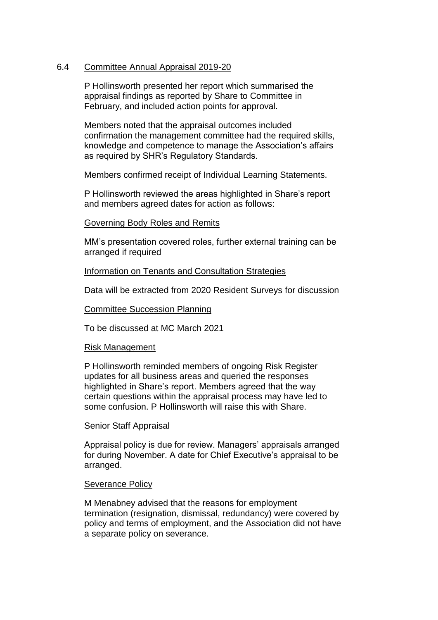# 6.4 Committee Annual Appraisal 2019-20

P Hollinsworth presented her report which summarised the appraisal findings as reported by Share to Committee in February, and included action points for approval.

Members noted that the appraisal outcomes included confirmation the management committee had the required skills, knowledge and competence to manage the Association's affairs as required by SHR's Regulatory Standards.

Members confirmed receipt of Individual Learning Statements.

P Hollinsworth reviewed the areas highlighted in Share's report and members agreed dates for action as follows:

### Governing Body Roles and Remits

MM's presentation covered roles, further external training can be arranged if required

### Information on Tenants and Consultation Strategies

Data will be extracted from 2020 Resident Surveys for discussion

### Committee Succession Planning

To be discussed at MC March 2021

### Risk Management

P Hollinsworth reminded members of ongoing Risk Register updates for all business areas and queried the responses highlighted in Share's report. Members agreed that the way certain questions within the appraisal process may have led to some confusion. P Hollinsworth will raise this with Share.

### Senior Staff Appraisal

Appraisal policy is due for review. Managers' appraisals arranged for during November. A date for Chief Executive's appraisal to be arranged.

### Severance Policy

M Menabney advised that the reasons for employment termination (resignation, dismissal, redundancy) were covered by policy and terms of employment, and the Association did not have a separate policy on severance.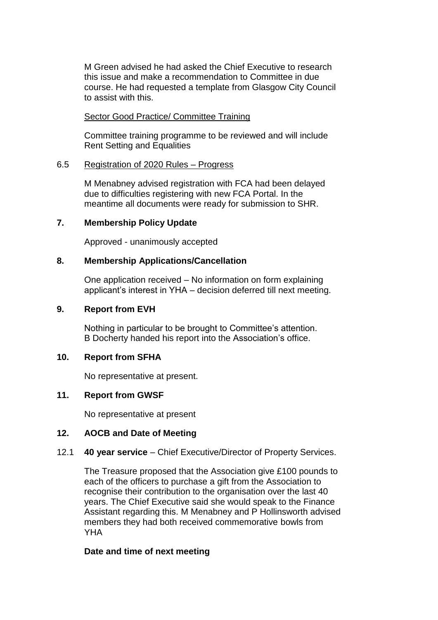M Green advised he had asked the Chief Executive to research this issue and make a recommendation to Committee in due course. He had requested a template from Glasgow City Council to assist with this.

# Sector Good Practice/ Committee Training

Committee training programme to be reviewed and will include Rent Setting and Equalities

# 6.5 Registration of 2020 Rules – Progress

M Menabney advised registration with FCA had been delayed due to difficulties registering with new FCA Portal. In the meantime all documents were ready for submission to SHR.

# **7. Membership Policy Update**

Approved - unanimously accepted

# **8. Membership Applications/Cancellation**

One application received – No information on form explaining applicant's interest in YHA – decision deferred till next meeting.

# **9. Report from EVH**

Nothing in particular to be brought to Committee's attention. B Docherty handed his report into the Association's office.

# **10. Report from SFHA**

No representative at present.

# **11. Report from GWSF**

No representative at present

#### **12. AOCB and Date of Meeting**

#### 12.1 **40 year service** – Chief Executive/Director of Property Services.

The Treasure proposed that the Association give £100 pounds to each of the officers to purchase a gift from the Association to recognise their contribution to the organisation over the last 40 years. The Chief Executive said she would speak to the Finance Assistant regarding this. M Menabney and P Hollinsworth advised members they had both received commemorative bowls from **YHA** 

# **Date and time of next meeting**